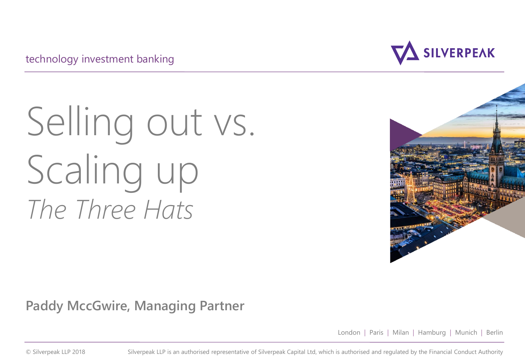technology investment banking

# Selling out vs. Scaling up *The Three Hats*



**Paddy MccGwire, Managing Partner**

London | Paris | Milan | Hamburg | Munich | Berlin

© Silverpeak LLP 2018 Silverpeak LLP is an authorised representative of Silverpeak Capital Ltd, which is authorised and regulated by the Financial Conduct Authority

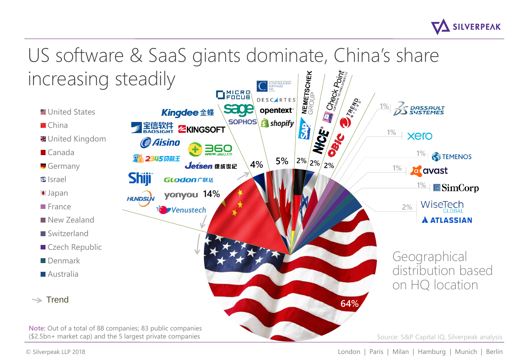

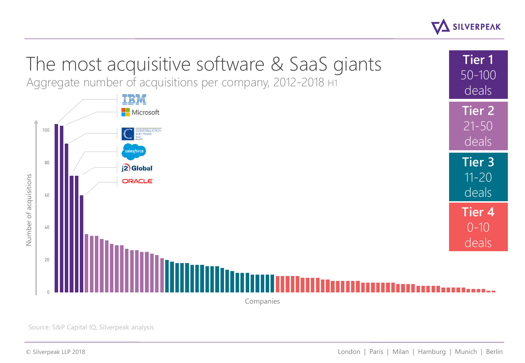



Source: S&P Capital IQ, Silverpeak analysis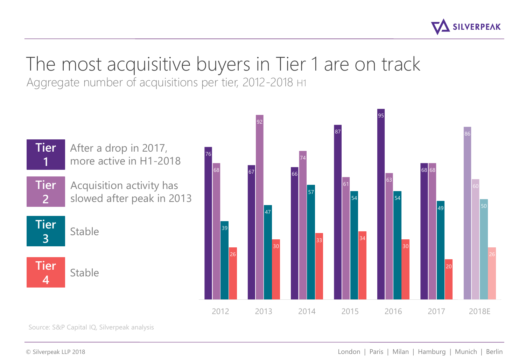

### The most acquisitive buyers in Tier 1 are on track

Aggregate number of acquisitions per tier, 2012-2018 H1



Source: S&P Capital IQ, Silverpeak analysis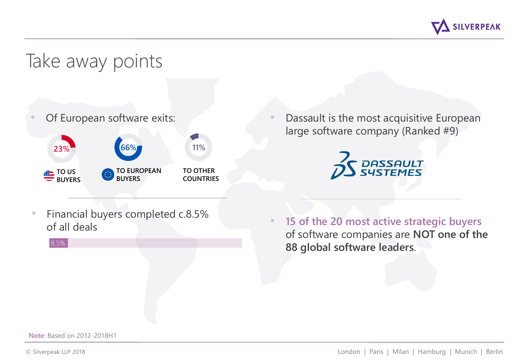

#### Take away points

Of European software exits:



Dassault is the most acquisitive European large software company (Ranked #9)



• Financial buyers completed c.8.5% of all deals



8.5%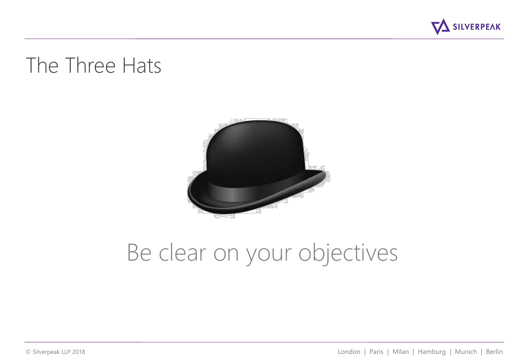

### The Three Hats



# Be clear on your objectives

© Silverpeak LLP 2018 London | Paris | Milan | Hamburg | Munich | Berlin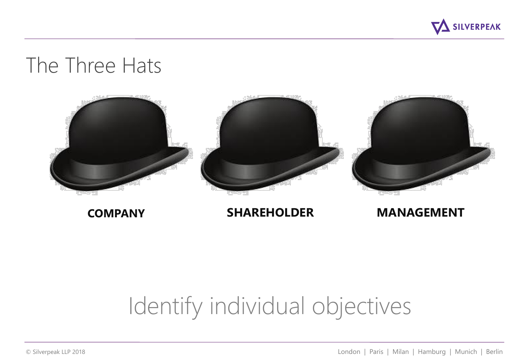

### The Three Hats



**COMPANY SHAREHOLDER MANAGEMENT**

## Identify individual objectives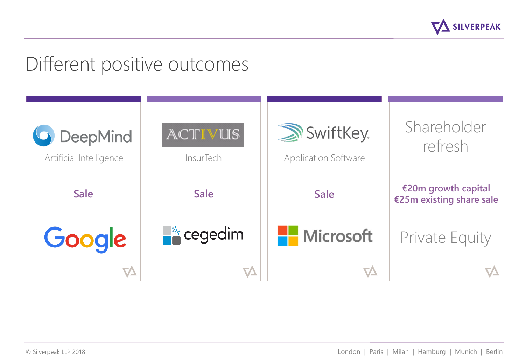

#### Different positive outcomes